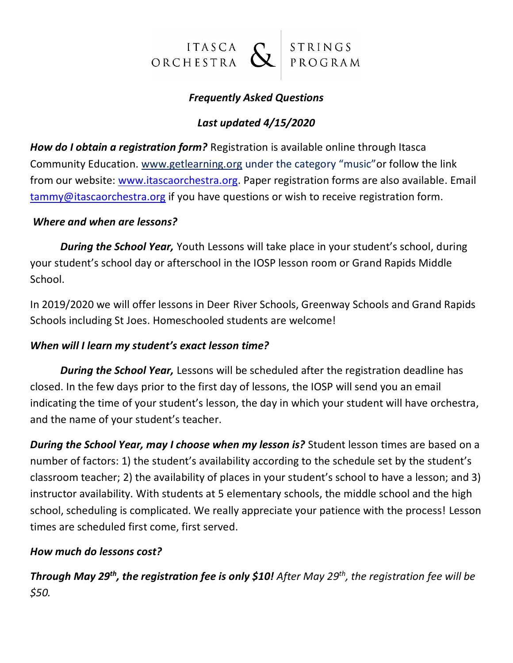

# *Frequently Asked Questions*

## *Last updated 4/15/2020*

*How do I obtain a registration form?* Registration is available online through Itasca Community Education. www.getlearning.org under the category "music"or follow the link from our website: [www.itascaorchestra.org.](http://www.itascaorchestra.org/) Paper registration forms are also available. Email [tammy@itascaorchestra.org](mailto:tammy@itascaorchestra.org) if you have questions or wish to receive registration form.

#### *Where and when are lessons?*

*During the School Year,* Youth Lessons will take place in your student's school, during your student's school day or afterschool in the IOSP lesson room or Grand Rapids Middle School.

In 2019/2020 we will offer lessons in Deer River Schools, Greenway Schools and Grand Rapids Schools including St Joes. Homeschooled students are welcome!

#### *When will I learn my student's exact lesson time?*

*During the School Year,* Lessons will be scheduled after the registration deadline has closed. In the few days prior to the first day of lessons, the IOSP will send you an email indicating the time of your student's lesson, the day in which your student will have orchestra, and the name of your student's teacher.

*During the School Year, may I choose when my lesson is?* Student lesson times are based on a number of factors: 1) the student's availability according to the schedule set by the student's classroom teacher; 2) the availability of places in your student's school to have a lesson; and 3) instructor availability. With students at 5 elementary schools, the middle school and the high school, scheduling is complicated. We really appreciate your patience with the process! Lesson times are scheduled first come, first served.

## *How much do lessons cost?*

*Through May 29th, the registration fee is only \$10! After May 29th, the registration fee will be \$50.*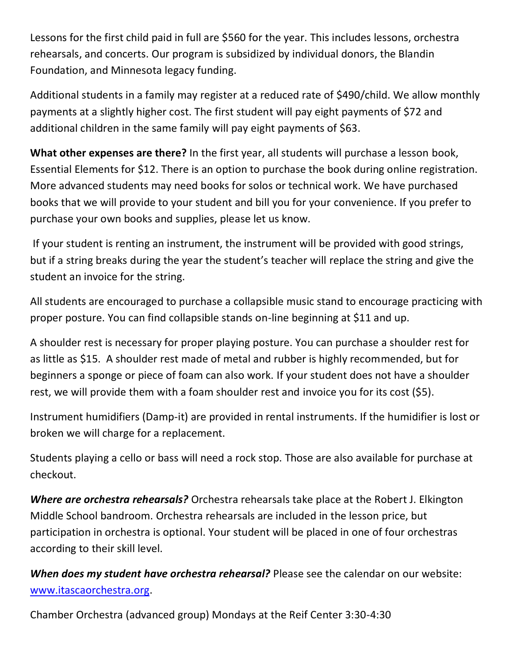Lessons for the first child paid in full are \$560 for the year. This includes lessons, orchestra rehearsals, and concerts. Our program is subsidized by individual donors, the Blandin Foundation, and Minnesota legacy funding.

Additional students in a family may register at a reduced rate of \$490/child. We allow monthly payments at a slightly higher cost. The first student will pay eight payments of \$72 and additional children in the same family will pay eight payments of \$63.

**What other expenses are there?** In the first year, all students will purchase a lesson book, Essential Elements for \$12. There is an option to purchase the book during online registration. More advanced students may need books for solos or technical work. We have purchased books that we will provide to your student and bill you for your convenience. If you prefer to purchase your own books and supplies, please let us know.

If your student is renting an instrument, the instrument will be provided with good strings, but if a string breaks during the year the student's teacher will replace the string and give the student an invoice for the string.

All students are encouraged to purchase a collapsible music stand to encourage practicing with proper posture. You can find collapsible stands on-line beginning at \$11 and up.

A shoulder rest is necessary for proper playing posture. You can purchase a shoulder rest for as little as \$15. A shoulder rest made of metal and rubber is highly recommended, but for beginners a sponge or piece of foam can also work. If your student does not have a shoulder rest, we will provide them with a foam shoulder rest and invoice you for its cost (\$5).

Instrument humidifiers (Damp-it) are provided in rental instruments. If the humidifier is lost or broken we will charge for a replacement.

Students playing a cello or bass will need a rock stop. Those are also available for purchase at checkout.

*Where are orchestra rehearsals?* Orchestra rehearsals take place at the Robert J. Elkington Middle School bandroom. Orchestra rehearsals are included in the lesson price, but participation in orchestra is optional. Your student will be placed in one of four orchestras according to their skill level.

*When does my student have orchestra rehearsal?* Please see the calendar on our website: [www.itascaorchestra.org.](http://www.itascaorchestra.org/)

Chamber Orchestra (advanced group) Mondays at the Reif Center 3:30-4:30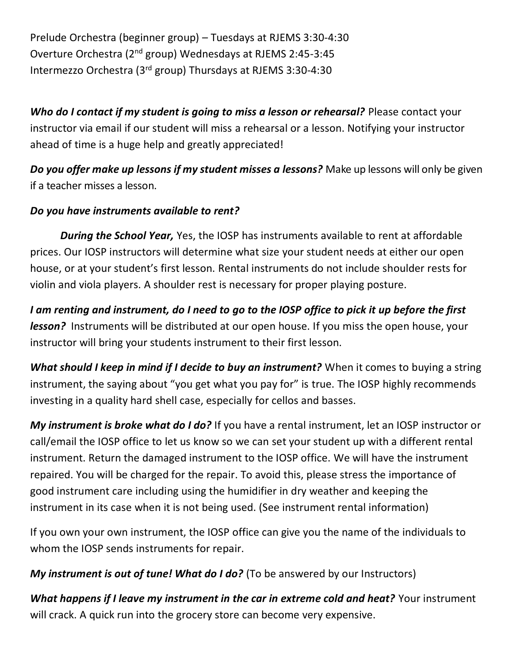Prelude Orchestra (beginner group) – Tuesdays at RJEMS 3:30-4:30 Overture Orchestra (2nd group) Wednesdays at RJEMS 2:45-3:45 Intermezzo Orchestra (3rd group) Thursdays at RJEMS 3:30-4:30

**Who do I contact if my student is going to miss a lesson or rehearsal?** Please contact your instructor via email if our student will miss a rehearsal or a lesson. Notifying your instructor ahead of time is a huge help and greatly appreciated!

*Do you offer make up lessons if my student misses a lessons?* Make up lessons will only be given if a teacher misses a lesson.

# *Do you have instruments available to rent?*

*During the School Year,* Yes, the IOSP has instruments available to rent at affordable prices. Our IOSP instructors will determine what size your student needs at either our open house, or at your student's first lesson. Rental instruments do not include shoulder rests for violin and viola players. A shoulder rest is necessary for proper playing posture.

*I am renting and instrument, do I need to go to the IOSP office to pick it up before the first lesson?* Instruments will be distributed at our open house. If you miss the open house, your instructor will bring your students instrument to their first lesson.

What should I keep in mind if I decide to buy an instrument? When it comes to buying a string instrument, the saying about "you get what you pay for" is true. The IOSP highly recommends investing in a quality hard shell case, especially for cellos and basses.

*My instrument is broke what do I do?* If you have a rental instrument, let an IOSP instructor or call/email the IOSP office to let us know so we can set your student up with a different rental instrument. Return the damaged instrument to the IOSP office. We will have the instrument repaired. You will be charged for the repair. To avoid this, please stress the importance of good instrument care including using the humidifier in dry weather and keeping the instrument in its case when it is not being used. (See instrument rental information)

If you own your own instrument, the IOSP office can give you the name of the individuals to whom the IOSP sends instruments for repair.

*My instrument is out of tune! What do I do?* (To be answered by our Instructors)

What happens if I leave my instrument in the car in extreme cold and heat? Your instrument will crack. A quick run into the grocery store can become very expensive.